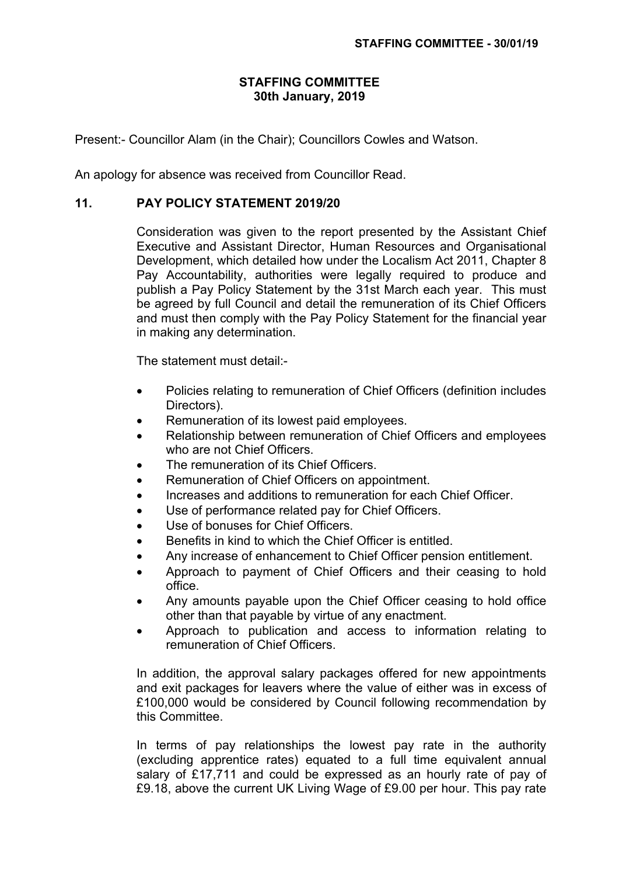## **STAFFING COMMITTEE 30th January, 2019**

Present:- Councillor Alam (in the Chair); Councillors Cowles and Watson.

An apology for absence was received from Councillor Read.

## **11. PAY POLICY STATEMENT 2019/20**

Consideration was given to the report presented by the Assistant Chief Executive and Assistant Director, Human Resources and Organisational Development, which detailed how under the Localism Act 2011, Chapter 8 Pay Accountability, authorities were legally required to produce and publish a Pay Policy Statement by the 31st March each year. This must be agreed by full Council and detail the remuneration of its Chief Officers and must then comply with the Pay Policy Statement for the financial year in making any determination.

The statement must detail:-

- Policies relating to remuneration of Chief Officers (definition includes Directors).
- Remuneration of its lowest paid employees.
- Relationship between remuneration of Chief Officers and employees who are not Chief Officers.
- The remuneration of its Chief Officers.
- Remuneration of Chief Officers on appointment.
- Increases and additions to remuneration for each Chief Officer.
- Use of performance related pay for Chief Officers.
- Use of bonuses for Chief Officers.
- Benefits in kind to which the Chief Officer is entitled.
- Any increase of enhancement to Chief Officer pension entitlement.
- Approach to payment of Chief Officers and their ceasing to hold office.
- Any amounts payable upon the Chief Officer ceasing to hold office other than that payable by virtue of any enactment.
- Approach to publication and access to information relating to remuneration of Chief Officers.

In addition, the approval salary packages offered for new appointments and exit packages for leavers where the value of either was in excess of £100,000 would be considered by Council following recommendation by this Committee.

In terms of pay relationships the lowest pay rate in the authority (excluding apprentice rates) equated to a full time equivalent annual salary of £17,711 and could be expressed as an hourly rate of pay of £9.18, above the current UK Living Wage of £9.00 per hour. This pay rate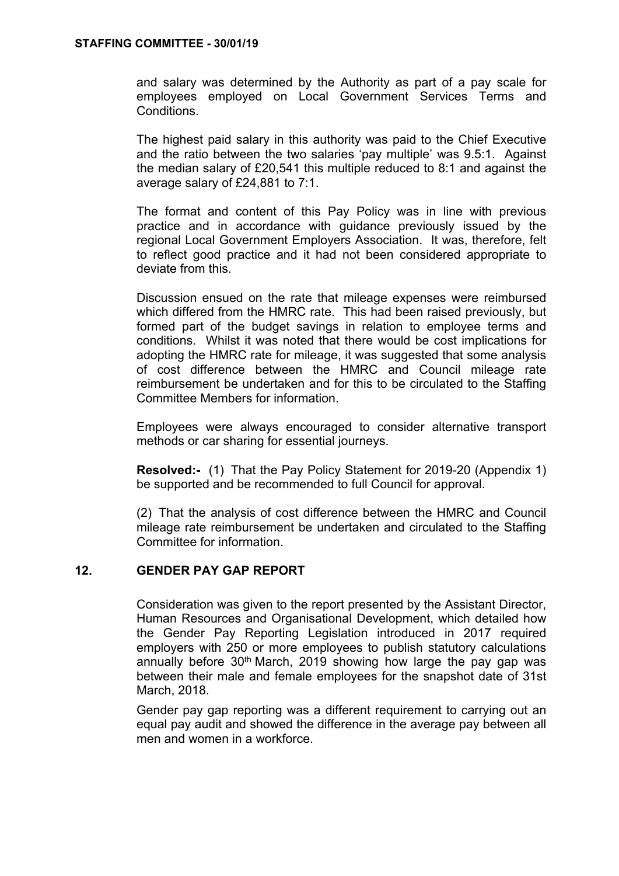and salary was determined by the Authority as part of a pay scale for employees employed on Local Government Services Terms and **Conditions** 

The highest paid salary in this authority was paid to the Chief Executive and the ratio between the two salaries 'pay multiple' was 9.5:1. Against the median salary of £20,541 this multiple reduced to 8:1 and against the average salary of £24,881 to 7:1.

The format and content of this Pay Policy was in line with previous practice and in accordance with guidance previously issued by the regional Local Government Employers Association. It was, therefore, felt to reflect good practice and it had not been considered appropriate to deviate from this.

Discussion ensued on the rate that mileage expenses were reimbursed which differed from the HMRC rate. This had been raised previously, but formed part of the budget savings in relation to employee terms and conditions. Whilst it was noted that there would be cost implications for adopting the HMRC rate for mileage, it was suggested that some analysis of cost difference between the HMRC and Council mileage rate reimbursement be undertaken and for this to be circulated to the Staffing Committee Members for information.

Employees were always encouraged to consider alternative transport methods or car sharing for essential journeys.

**Resolved:-** (1) That the Pay Policy Statement for 2019-20 (Appendix 1) be supported and be recommended to full Council for approval.

(2) That the analysis of cost difference between the HMRC and Council mileage rate reimbursement be undertaken and circulated to the Staffing Committee for information.

## **12. GENDER PAY GAP REPORT**

Consideration was given to the report presented by the Assistant Director, Human Resources and Organisational Development, which detailed how the Gender Pay Reporting Legislation introduced in 2017 required employers with 250 or more employees to publish statutory calculations annually before 30<sup>th</sup> March, 2019 showing how large the pay gap was between their male and female employees for the snapshot date of 31st March, 2018.

Gender pay gap reporting was a different requirement to carrying out an equal pay audit and showed the difference in the average pay between all men and women in a workforce.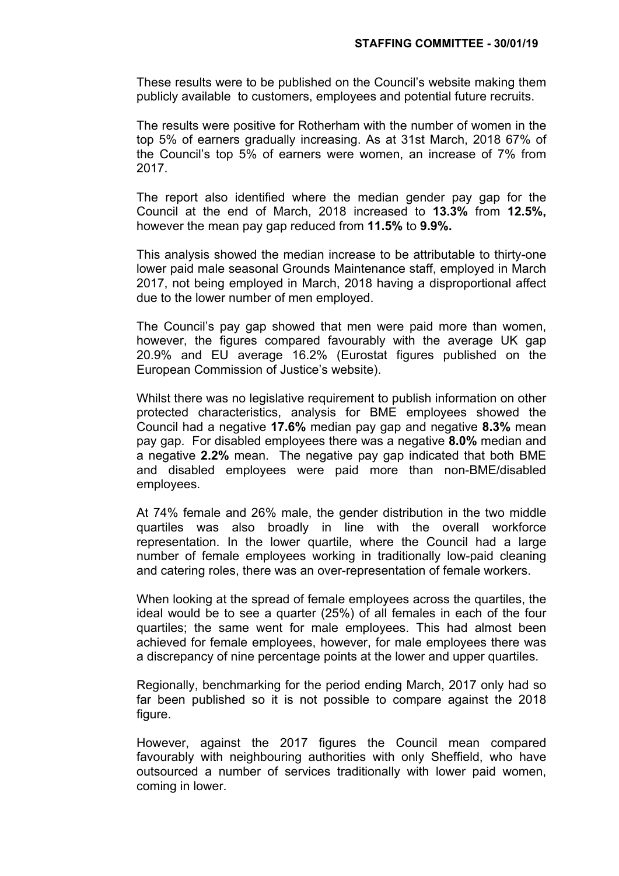These results were to be published on the Council's website making them publicly available to customers, employees and potential future recruits.

The results were positive for Rotherham with the number of women in the top 5% of earners gradually increasing. As at 31st March, 2018 67% of the Council's top 5% of earners were women, an increase of 7% from 2017.

The report also identified where the median gender pay gap for the Council at the end of March, 2018 increased to **13.3%** from **12.5%,** however the mean pay gap reduced from **11.5%** to **9.9%.**

This analysis showed the median increase to be attributable to thirty-one lower paid male seasonal Grounds Maintenance staff, employed in March 2017, not being employed in March, 2018 having a disproportional affect due to the lower number of men employed.

The Council's pay gap showed that men were paid more than women, however, the figures compared favourably with the average UK gap 20.9% and EU average 16.2% (Eurostat figures published on the European Commission of Justice's website).

Whilst there was no legislative requirement to publish information on other protected characteristics, analysis for BME employees showed the Council had a negative **17.6%** median pay gap and negative **8.3%** mean pay gap. For disabled employees there was a negative **8.0%** median and a negative **2.2%** mean. The negative pay gap indicated that both BME and disabled employees were paid more than non-BME/disabled employees.

At 74% female and 26% male, the gender distribution in the two middle quartiles was also broadly in line with the overall workforce representation. In the lower quartile, where the Council had a large number of female employees working in traditionally low-paid cleaning and catering roles, there was an over-representation of female workers.

When looking at the spread of female employees across the quartiles, the ideal would be to see a quarter (25%) of all females in each of the four quartiles; the same went for male employees. This had almost been achieved for female employees, however, for male employees there was a discrepancy of nine percentage points at the lower and upper quartiles.

Regionally, benchmarking for the period ending March, 2017 only had so far been published so it is not possible to compare against the 2018 figure.

However, against the 2017 figures the Council mean compared favourably with neighbouring authorities with only Sheffield, who have outsourced a number of services traditionally with lower paid women, coming in lower.